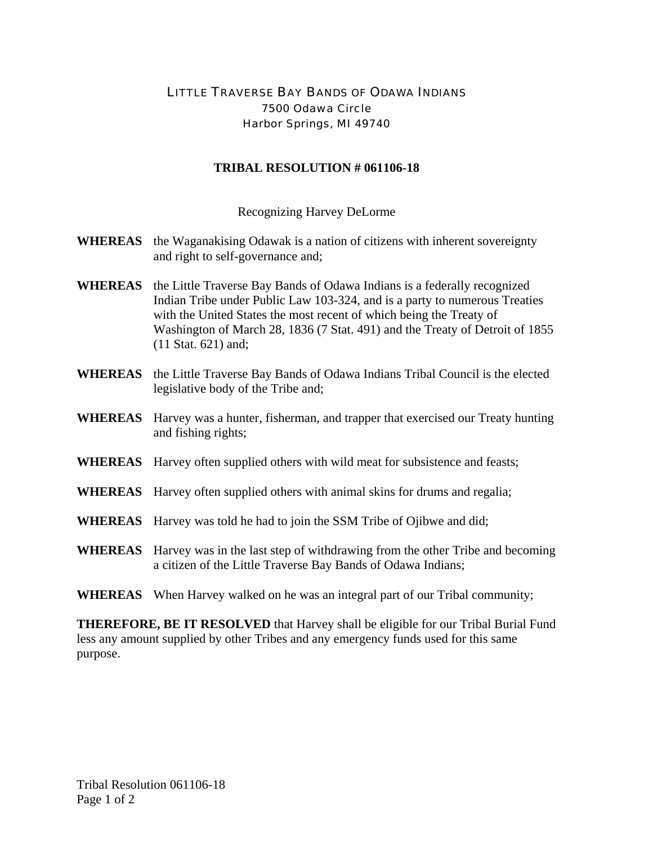## LITTLE TRAVERSE BAY BANDS OF ODAWA INDIANS 7500 Odawa Circle Harbor Springs, MI 49740

## **TRIBAL RESOLUTION # 061106-18**

Recognizing Harvey DeLorme

- **WHEREAS** the Waganakising Odawak is a nation of citizens with inherent sovereignty and right to self-governance and;
- **WHEREAS** the Little Traverse Bay Bands of Odawa Indians is a federally recognized Indian Tribe under Public Law 103-324, and is a party to numerous Treaties with the United States the most recent of which being the Treaty of Washington of March 28, 1836 (7 Stat. 491) and the Treaty of Detroit of 1855 (11 Stat. 621) and;
- **WHEREAS** the Little Traverse Bay Bands of Odawa Indians Tribal Council is the elected legislative body of the Tribe and;
- **WHEREAS** Harvey was a hunter, fisherman, and trapper that exercised our Treaty hunting and fishing rights;
- **WHEREAS** Harvey often supplied others with wild meat for subsistence and feasts;
- **WHEREAS** Harvey often supplied others with animal skins for drums and regalia;
- **WHEREAS** Harvey was told he had to join the SSM Tribe of Ojibwe and did;
- **WHEREAS** Harvey was in the last step of withdrawing from the other Tribe and becoming a citizen of the Little Traverse Bay Bands of Odawa Indians;
- **WHEREAS** When Harvey walked on he was an integral part of our Tribal community;

**THEREFORE, BE IT RESOLVED** that Harvey shall be eligible for our Tribal Burial Fund less any amount supplied by other Tribes and any emergency funds used for this same purpose.